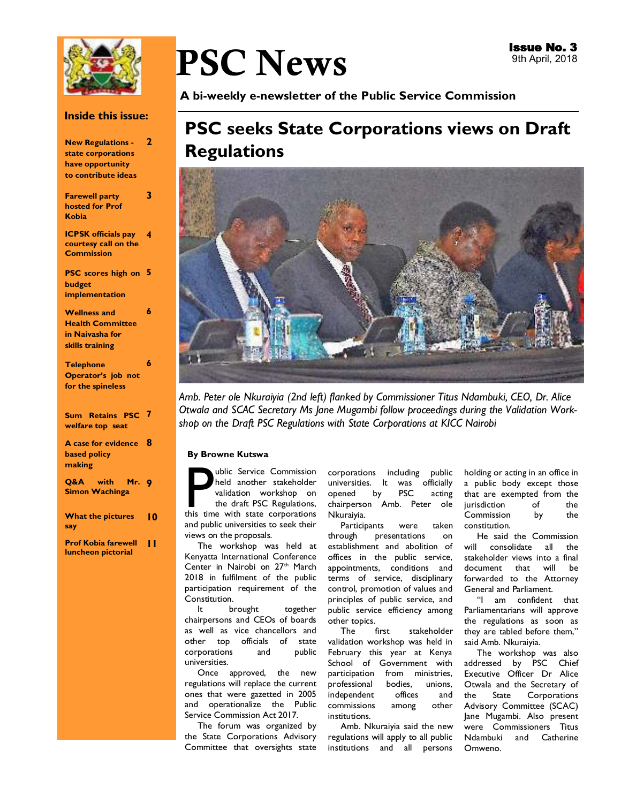

#### **Inside this issue:**

| <b>New Regulations -</b><br>state corporations<br>have opportunity<br>to contribute ideas | $\overline{2}$ |
|-------------------------------------------------------------------------------------------|----------------|
| <b>Farewell party</b><br><b>hosted for Prof</b><br>Kobia                                  | 3              |
| <b>ICPSK</b> officials pay<br>courtesy call on the<br><b>Commission</b>                   | 4              |
| <b>PSC</b> scores high on<br>budget<br>implementation                                     | 5              |
| <b>Wellness and</b><br><b>Health Committee</b><br>in Naivasha for<br>skills training      | 6              |
| <b>Telephone</b><br>Operator's job not<br>for the spineless                               | 6              |
| Sum Retains PSC<br>welfare top seat                                                       | 7              |
| A case for evidence<br><b>based policy</b><br>making                                      | 8              |
| with Mr.<br>Q&A<br><b>Simon Wachinga</b>                                                  | -9             |
| <b>What the pictures</b><br>say                                                           | 10             |
| <b>Prof Kobia farewell</b><br>luncheon pictorial                                          | ' '            |

# PSC News

**A bi-weekly e-newsletter of the Public Service Commission** 

## **PSC seeks State Corporations views on Draft Regulations**



*Amb. Peter ole Nkuraiyia (2nd left) flanked by Commissioner Titus Ndambuki, CEO, Dr. Alice Otwala and SCAC Secretary Ms Jane Mugambi follow proceedings during the Validation Workshop on the Draft PSC Regulations with State Corporations at KICC Nairobi*

#### **By Browne Kutswa**

whic Service Commission<br>
held another stakeholder<br>
validation workshop on<br>
the draft PSC Regulations,<br>
this time with state corporations held another stakeholder validation workshop on the draft PSC Regulations, and public universities to seek their views on the proposals.

 The workshop was held at Kenyatta International Conference Center in Nairobi on 27<sup>th</sup> March 2018 in fulfilment of the public participation requirement of the Constitution.

 It brought together chairpersons and CEOs of boards as well as vice chancellors and other top officials of state corporations and public universities.

 Once approved, the new regulations will replace the current ones that were gazetted in 2005 and operationalize the Public Service Commission Act 2017.

 The forum was organized by the State Corporations Advisory Committee that oversights state

corporations including public universities. It was officially opened by PSC acting chairperson Amb. Peter ole Nkuraiyia.

 Participants were taken through presentations on establishment and abolition of offices in the public service, appointments, conditions and terms of service, disciplinary control, promotion of values and principles of public service, and public service efficiency among other topics.

 The first stakeholder validation workshop was held in February this year at Kenya School of Government with participation from ministries, professional bodies, unions, independent offices and commissions among other institutions.

 Amb. Nkuraiyia said the new regulations will apply to all public institutions and all persons holding or acting in an office in a public body except those that are exempted from the jurisdiction of the Commission by the constitution.

 He said the Commission will consolidate all the stakeholder views into a final document that will be forwarded to the Attorney General and Parliament.

 "I am confident that Parliamentarians will approve the regulations as soon as they are tabled before them," said Amb. Nkuraiyia.

 The workshop was also addressed by PSC Chief Executive Officer Dr Alice Otwala and the Secretary of the State Corporations Advisory Committee (SCAC) Jane Mugambi. Also present were Commissioners Titus Ndambuki and Catherine Omweno.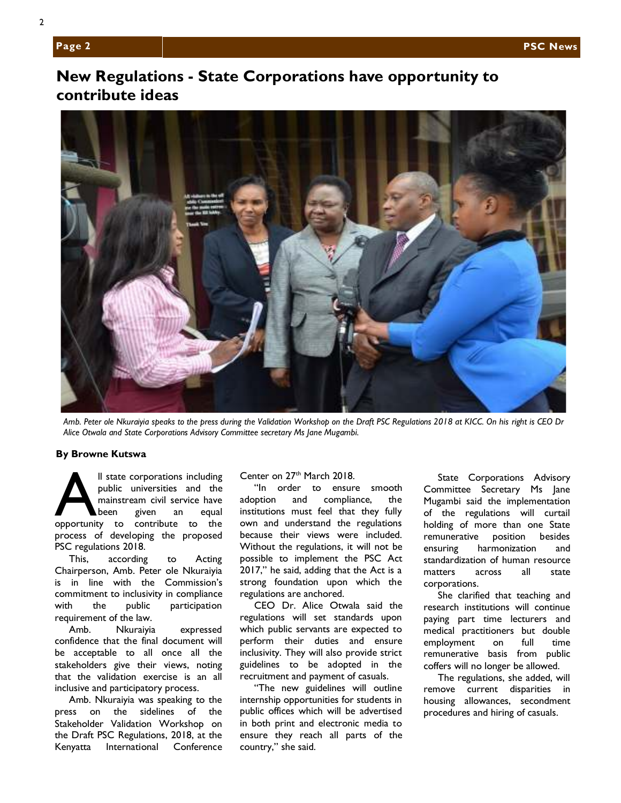## **New Regulations - State Corporations have opportunity to contribute ideas**



*Amb. Peter ole Nkuraiyia speaks to the press during the Validation Workshop on the Draft PSC Regulations 2018 at KICC. On his right is CEO Dr Alice Otwala and State Corporations Advisory Committee secretary Ms Jane Mugambi.* 

#### **By Browne Kutswa**

Il state corporations including<br>public universities and the<br>mainstream civil service have<br>been given an equal<br>opportunity to contribute to the public universities and the mainstream civil service have been given an equal opportunity to contribute to the process of developing the proposed PSC regulations 2018.

 This, according to Acting Chairperson, Amb. Peter ole Nkuraiyia is in line with the Commission's commitment to inclusivity in compliance with the public participation requirement of the law.

 Amb. Nkuraiyia expressed confidence that the final document will be acceptable to all once all the stakeholders give their views, noting that the validation exercise is an all inclusive and participatory process.

 Amb. Nkuraiyia was speaking to the press on the sidelines of the Stakeholder Validation Workshop on the Draft PSC Regulations, 2018, at the Kenyatta International Conference Center on 27<sup>th</sup> March 2018.

 "In order to ensure smooth adoption and compliance, the institutions must feel that they fully own and understand the regulations because their views were included. Without the regulations, it will not be possible to implement the PSC Act 2017," he said, adding that the Act is a strong foundation upon which the regulations are anchored.

 CEO Dr. Alice Otwala said the regulations will set standards upon which public servants are expected to perform their duties and ensure inclusivity. They will also provide strict guidelines to be adopted in the recruitment and payment of casuals.

 "The new guidelines will outline internship opportunities for students in public offices which will be advertised in both print and electronic media to ensure they reach all parts of the country," she said.

 State Corporations Advisory Committee Secretary Ms Jane Mugambi said the implementation of the regulations will curtail holding of more than one State remunerative position besides ensuring harmonization and standardization of human resource matters across all state corporations.

 She clarified that teaching and research institutions will continue paying part time lecturers and medical practitioners but double employment on full time remunerative basis from public coffers will no longer be allowed.

 The regulations, she added, will remove current disparities in housing allowances, secondment procedures and hiring of casuals.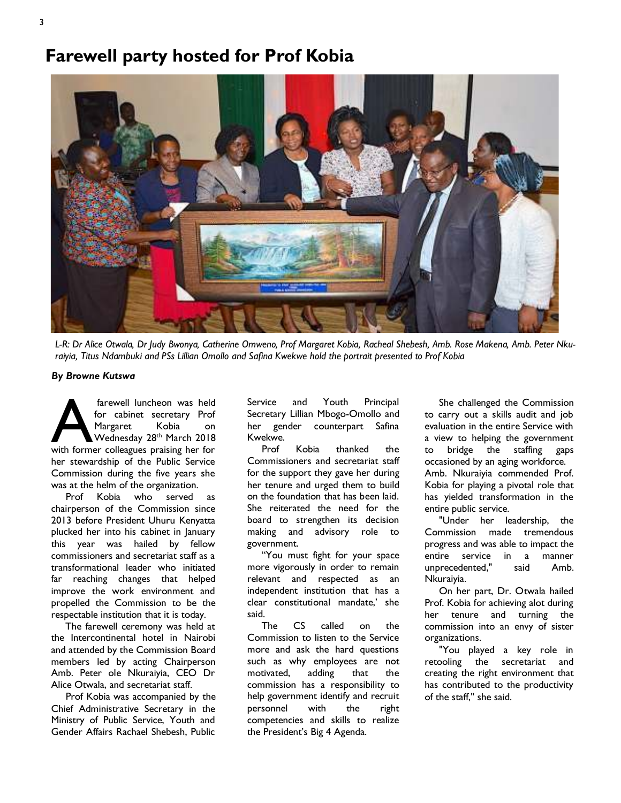## **Farewell party hosted for Prof Kobia**



*L-R: Dr Alice Otwala, Dr Judy Bwonya, Catherine Omweno, Prof Margaret Kobia, Racheal Shebesh, Amb. Rose Makena, Amb. Peter Nkuraiyia, Titus Ndambuki and PSs Lillian Omollo and Safina Kwekwe hold the portrait presented to Prof Kobia* 

#### *By Browne Kutswa*

farewell luncheon was held<br>
for cabinet secretary Prof<br>
Margaret Kobia on<br>
Wednesday 28<sup>th</sup> March 2018<br>
with former colleagues praising her for for cabinet secretary Prof Margaret Kobia on Wednesday 28th March 2018 her stewardship of the Public Service Commission during the five years she was at the helm of the organization.

 Prof Kobia who served as chairperson of the Commission since 2013 before President Uhuru Kenyatta plucked her into his cabinet in January this year was hailed by fellow commissioners and secretariat staff as a transformational leader who initiated far reaching changes that helped improve the work environment and propelled the Commission to be the respectable institution that it is today.

 The farewell ceremony was held at the Intercontinental hotel in Nairobi and attended by the Commission Board members led by acting Chairperson Amb. Peter ole Nkuraiyia, CEO Dr Alice Otwala, and secretariat staff.

 Prof Kobia was accompanied by the Chief Administrative Secretary in the Ministry of Public Service, Youth and Gender Affairs Rachael Shebesh, Public

Service and Youth Principal Secretary Lillian Mbogo-Omollo and her gender counterpart Safina Kwekwe.

 Prof Kobia thanked the Commissioners and secretariat staff for the support they gave her during her tenure and urged them to build on the foundation that has been laid. She reiterated the need for the board to strengthen its decision making and advisory role to government.

 "You must fight for your space more vigorously in order to remain relevant and respected as an independent institution that has a clear constitutional mandate,' she said.

 The CS called on the Commission to listen to the Service more and ask the hard questions such as why employees are not motivated, adding that the commission has a responsibility to help government identify and recruit personnel with the right competencies and skills to realize the President's Big 4 Agenda.

 She challenged the Commission to carry out a skills audit and job evaluation in the entire Service with a view to helping the government to bridge the staffing gaps occasioned by an aging workforce. Amb. Nkuraiyia commended Prof. Kobia for playing a pivotal role that has yielded transformation in the entire public service.

 "Under her leadership, the Commission made tremendous progress and was able to impact the entire service in a manner unprecedented," said Amb. Nkuraiyia.

 On her part, Dr. Otwala hailed Prof. Kobia for achieving alot during her tenure and turning the commission into an envy of sister organizations.

 "You played a key role in retooling the secretariat and creating the right environment that has contributed to the productivity of the staff," she said.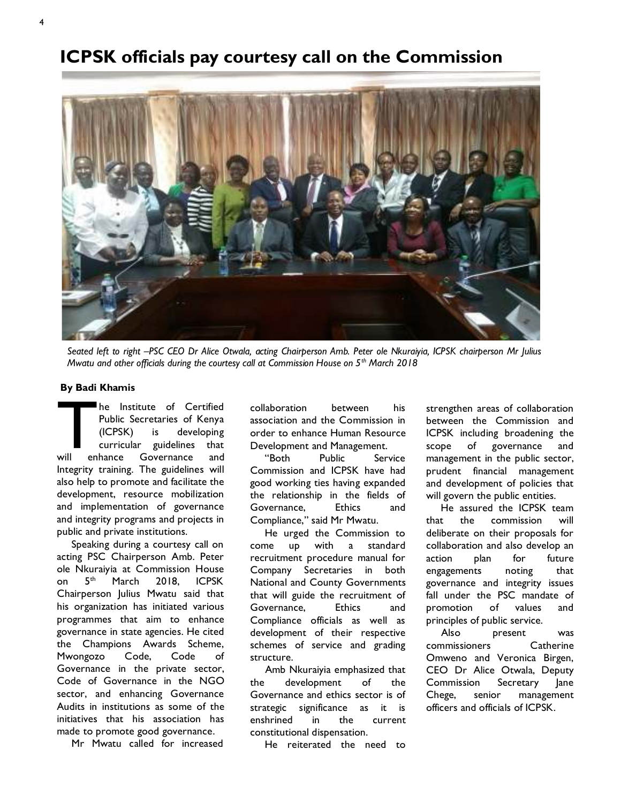## **ICPSK officials pay courtesy call on the Commission**



*Seated left to right –PSC CEO Dr Alice Otwala, acting Chairperson Amb. Peter ole Nkuraiyia, ICPSK chairperson Mr Julius Mwatu and other officials during the courtesy call at Commission House on 5th March 2018*

#### **By Badi Khamis**

The Institute of Certified<br>Public Secretaries of Kenya<br>(ICPSK) is developing<br>curricular guidelines that<br>will enhance Governance and Public Secretaries of Kenya (ICPSK) is developing curricular guidelines that will enhance Governance and Integrity training. The guidelines will also help to promote and facilitate the development, resource mobilization and implementation of governance and integrity programs and projects in public and private institutions.

 Speaking during a courtesy call on acting PSC Chairperson Amb. Peter ole Nkuraiyia at Commission House on 5<sup>th</sup> March 2018, ICPSK Chairperson Julius Mwatu said that his organization has initiated various programmes that aim to enhance governance in state agencies. He cited the Champions Awards Scheme, Mwongozo Code, Code of Governance in the private sector, Code of Governance in the NGO sector, and enhancing Governance Audits in institutions as some of the initiatives that his association has made to promote good governance.

Mr Mwatu called for increased

collaboration between his association and the Commission in order to enhance Human Resource Development and Management.

 "Both Public Service Commission and ICPSK have had good working ties having expanded the relationship in the fields of Governance, Ethics and Compliance," said Mr Mwatu.

 He urged the Commission to come up with a standard recruitment procedure manual for Company Secretaries in both National and County Governments that will guide the recruitment of Governance, Ethics and Compliance officials as well as development of their respective schemes of service and grading structure.

 Amb Nkuraiyia emphasized that the development of the Governance and ethics sector is of strategic significance as it is enshrined in the current constitutional dispensation.

He reiterated the need to

strengthen areas of collaboration between the Commission and ICPSK including broadening the scope of governance and management in the public sector, prudent financial management and development of policies that will govern the public entities.

 He assured the ICPSK team that the commission will deliberate on their proposals for collaboration and also develop an action plan for future engagements noting that governance and integrity issues fall under the PSC mandate of promotion of values and principles of public service.

 Also present was commissioners Catherine Omweno and Veronica Birgen, CEO Dr Alice Otwala, Deputy Commission Secretary Jane Chege, senior management officers and officials of ICPSK.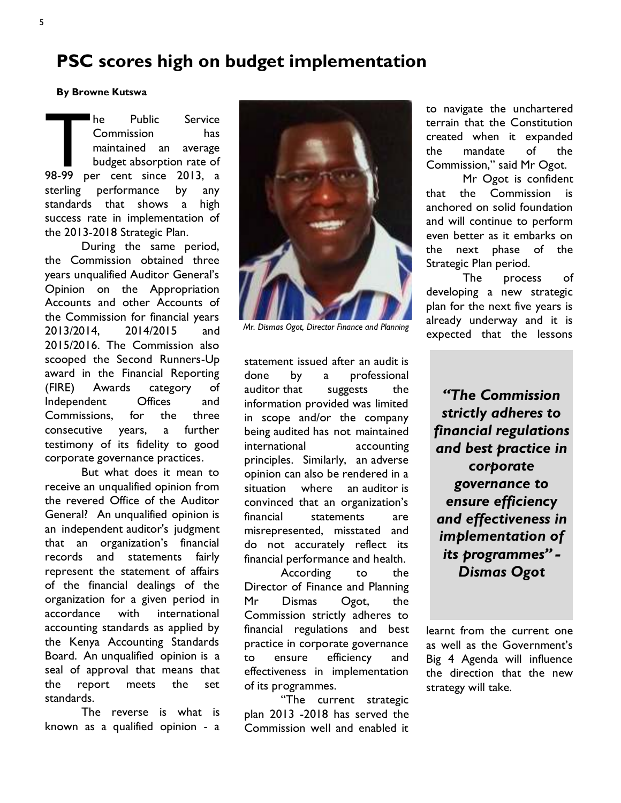## **PSC scores high on budget implementation**

**By Browne Kutswa** 

The Public Service<br>
Commission has<br>
maintained an average<br>
budget absorption rate of<br>
98-99 per cent since 2013, a Commission has maintained an average budget absorption rate of sterling performance by any standards that shows a high success rate in implementation of the 2013-2018 Strategic Plan.

During the same period, the Commission obtained three years unqualified Auditor General's Opinion on the Appropriation Accounts and other Accounts of the Commission for financial years 2013/2014, 2014/2015 and 2015/2016. The Commission also scooped the Second Runners-Up award in the Financial Reporting (FIRE) Awards category of Independent Offices and Commissions, for the three consecutive years, a further testimony of its fidelity to good corporate governance practices.

But what does it mean to receive an unqualified opinion from the revered Office of the Auditor General? An unqualified opinion is an independent auditor's judgment that an organization's financial records and statements fairly represent the statement of affairs of the financial dealings of the organization for a given period in accordance with international accounting standards as applied by the Kenya Accounting Standards Board. An unqualified opinion is a seal of approval that means that the report meets the set standards.

The reverse is what is known as a qualified opinion - a



*Mr. Dismas Ogot, Director Finance and Planning* 

statement issued after an audit is done by a professional auditor that suggests the information provided was limited in scope and/or the company being audited has not maintained international accounting principles. Similarly, an adverse opinion can also be rendered in a situation where an auditor is convinced that an organization's financial statements are misrepresented, misstated and do not accurately reflect its financial performance and health.

According to the Director of Finance and Planning Mr Dismas Ogot, the Commission strictly adheres to financial regulations and best practice in corporate governance to ensure efficiency and effectiveness in implementation of its programmes.

"The current strategic plan 2013 -2018 has served the Commission well and enabled it to navigate the unchartered terrain that the Constitution created when it expanded the mandate of the Commission," said Mr Ogot.

Mr Ogot is confident that the Commission is anchored on solid foundation and will continue to perform even better as it embarks on the next phase of the Strategic Plan period.

The process of developing a new strategic plan for the next five years is already underway and it is expected that the lessons

*"The Commission strictly adheres to financial regulations and best practice in corporate governance to ensure efficiency and effectiveness in implementation of its programmes" - Dismas Ogot* 

learnt from the current one as well as the Government's Big 4 Agenda will influence the direction that the new strategy will take.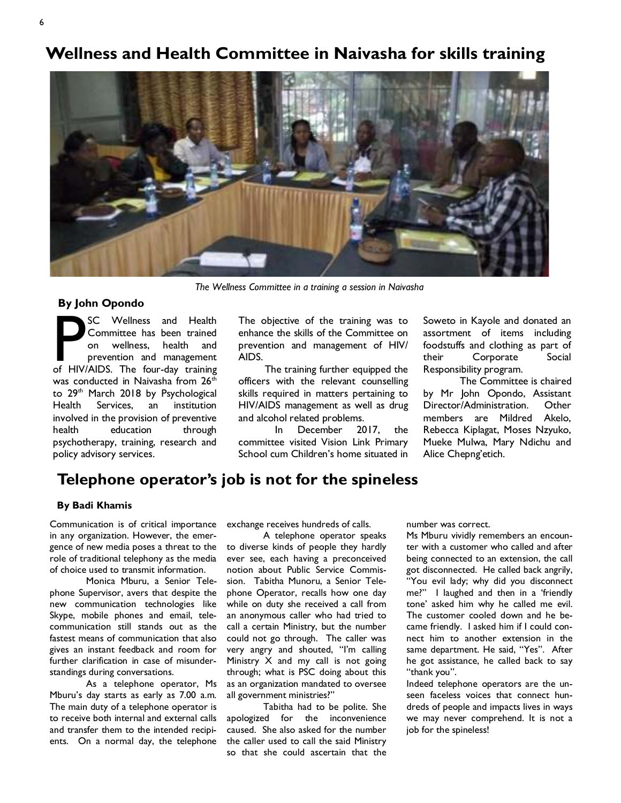## **Wellness and Health Committee in Naivasha for skills training**



*The Wellness Committee in a training a session in Naivasha* 

#### **By John Opondo**

SC Wellness and Health<br>
Committee has been trained<br>
on wellness, health and<br>
prevention and management<br>
of HIV/AIDS. The four-day training Committee has been trained on wellness, health and prevention and management was conducted in Naivasha from 26<sup>th</sup> to 29<sup>th</sup> March 2018 by Psychological Health Services, an institution involved in the provision of preventive health education through psychotherapy, training, research and policy advisory services.

The objective of the training was to enhance the skills of the Committee on prevention and management of HIV/ AIDS.

 The training further equipped the officers with the relevant counselling skills required in matters pertaining to HIV/AIDS management as well as drug and alcohol related problems.

In December 2017, the committee visited Vision Link Primary School cum Children's home situated in Soweto in Kayole and donated an assortment of items including foodstuffs and clothing as part of their Corporate Social Responsibility program.

The Committee is chaired by Mr John Opondo, Assistant Director/Administration. Other members are Mildred Akelo, Rebecca Kiplagat, Moses Nzyuko, Mueke Mulwa, Mary Ndichu and Alice Chepng'etich.

## **Telephone operator's job is not for the spineless**

#### **By Badi Khamis**

Communication is of critical importance in any organization. However, the emergence of new media poses a threat to the role of traditional telephony as the media of choice used to transmit information.

Monica Mburu, a Senior Telephone Supervisor, avers that despite the new communication technologies like Skype, mobile phones and email, telecommunication still stands out as the fastest means of communication that also gives an instant feedback and room for further clarification in case of misunderstandings during conversations.

As a telephone operator, Ms Mburu's day starts as early as 7.00 a.m. The main duty of a telephone operator is to receive both internal and external calls and transfer them to the intended recipients. On a normal day, the telephone

exchange receives hundreds of calls.

A telephone operator speaks to diverse kinds of people they hardly ever see, each having a preconceived notion about Public Service Commission. Tabitha Munoru, a Senior Telephone Operator, recalls how one day while on duty she received a call from an anonymous caller who had tried to call a certain Ministry, but the number could not go through. The caller was very angry and shouted, "I'm calling Ministry X and my call is not going through; what is PSC doing about this as an organization mandated to oversee all government ministries?"

Tabitha had to be polite. She apologized for the inconvenience caused. She also asked for the number the caller used to call the said Ministry so that she could ascertain that the

number was correct.

Ms Mburu vividly remembers an encounter with a customer who called and after being connected to an extension, the call got disconnected. He called back angrily, "You evil lady; why did you disconnect me?" I laughed and then in a 'friendly tone' asked him why he called me evil. The customer cooled down and he became friendly. I asked him if I could connect him to another extension in the same department. He said, "Yes". After he got assistance, he called back to say "thank you".

Indeed telephone operators are the unseen faceless voices that connect hundreds of people and impacts lives in ways we may never comprehend. It is not a job for the spineless!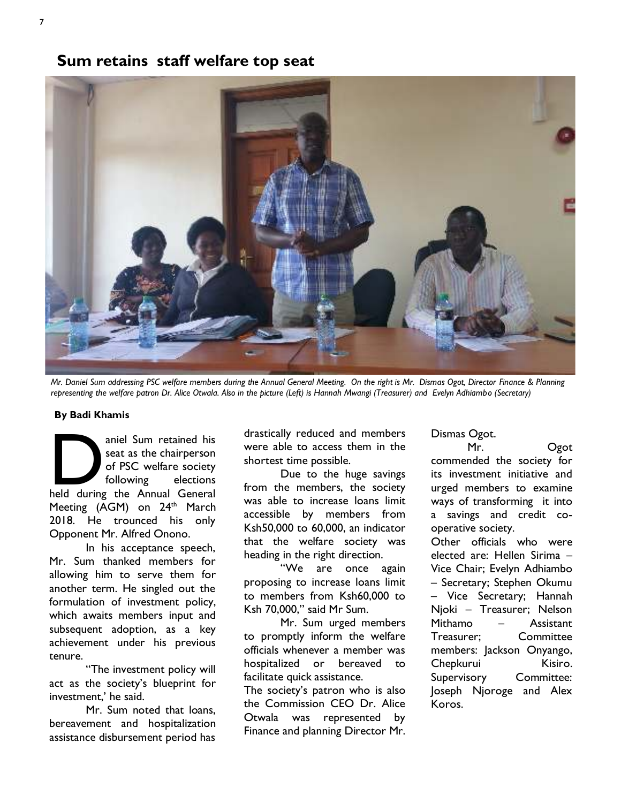## **Sum retains staff welfare top seat**



*Mr. Daniel Sum addressing PSC welfare members during the Annual General Meeting. On the right is Mr. Dismas Ogot, Director Finance & Planning representing the welfare patron Dr. Alice Otwala. Also in the picture (Left) is Hannah Mwangi (Treasurer) and Evelyn Adhiambo (Secretary)* 

#### **By Badi Khamis**

aniel Sum retained his<br>
seat as the chairperson<br>
of PSC welfare society<br>
following elections<br>
held during the Annual General seat as the chairperson of PSC welfare society following elections Meeting  $(AGM)$  on  $24<sup>th</sup>$  March 2018. He trounced his only Opponent Mr. Alfred Onono.

In his acceptance speech, Mr. Sum thanked members for allowing him to serve them for another term. He singled out the formulation of investment policy, which awaits members input and subsequent adoption, as a key achievement under his previous tenure.

"The investment policy will act as the society's blueprint for investment,' he said.

Mr. Sum noted that loans, bereavement and hospitalization assistance disbursement period has drastically reduced and members were able to access them in the shortest time possible.

Due to the huge savings from the members, the society was able to increase loans limit accessible by members from Ksh50,000 to 60,000, an indicator that the welfare society was heading in the right direction.

"We are once again proposing to increase loans limit to members from Ksh60,000 to Ksh 70,000," said Mr Sum.

Mr. Sum urged members to promptly inform the welfare officials whenever a member was hospitalized or bereaved to facilitate quick assistance.

The society's patron who is also the Commission CEO Dr. Alice Otwala was represented by Finance and planning Director Mr.

Dismas Ogot.

Mr. Ogot commended the society for its investment initiative and urged members to examine ways of transforming it into a savings and credit co-

operative society. Other officials who were elected are: Hellen Sirima – Vice Chair; Evelyn Adhiambo – Secretary; Stephen Okumu – Vice Secretary; Hannah Njoki – Treasurer; Nelson Mithamo – Assistant Treasurer; Committee members: Jackson Onyango, Chepkurui Kisiro. Supervisory Committee: Joseph Njoroge and Alex Koros.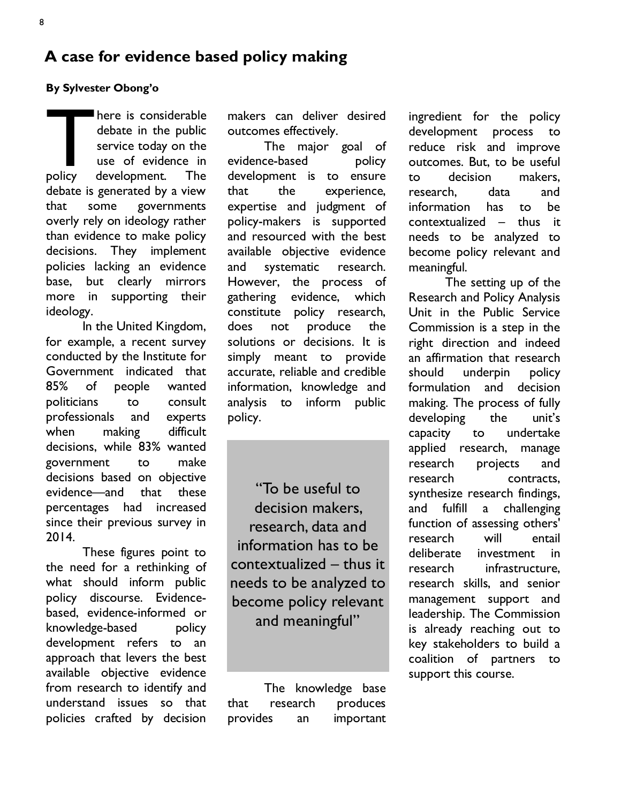## **A case for evidence based policy making**

#### **By Sylvester Obong'o**

There is considerable<br>debate in the public<br>service today on the<br>use of evidence in<br>policy development. The debate in the public service today on the use of evidence in policy development. The debate is generated by a view that some governments overly rely on ideology rather than evidence to make policy decisions. They implement policies lacking an evidence base, but clearly mirrors more in supporting their ideology.

 In the United Kingdom, for example, a recent survey conducted by the Institute for Government indicated that 85% of people wanted politicians to consult professionals and experts when making difficult decisions, while 83% wanted government to make decisions based on objective evidence—and that these percentages had increased since their previous survey in 2014.

These figures point to the need for a rethinking of what should inform public policy discourse. Evidencebased, evidence-informed or knowledge-based policy development refers to an approach that levers the best available objective evidence from research to identify and understand issues so that policies crafted by decision

makers can deliver desired outcomes effectively.

The major goal of evidence-based policy development is to ensure that the experience, expertise and judgment of policy-makers is supported and resourced with the best available objective evidence and systematic research. However, the process of gathering evidence, which constitute policy research, does not produce the solutions or decisions. It is simply meant to provide accurate, reliable and credible information, knowledge and analysis to inform public policy.

"To be useful to decision makers, research, data and information has to be contextualized – thus it needs to be analyzed to become policy relevant and meaningful"

The knowledge base that research produces provides an important

ingredient for the policy development process to reduce risk and improve outcomes. But, to be useful to decision makers, research, data and information has to be contextualized – thus it needs to be analyzed to become policy relevant and meaningful.

The setting up of the Research and Policy Analysis Unit in the Public Service Commission is a step in the right direction and indeed an affirmation that research should underpin policy formulation and decision making. The process of fully developing the unit's capacity to undertake applied research, manage research projects and research contracts, synthesize research findings, and fulfill a challenging function of assessing others' research will entail deliberate investment in research infrastructure, research skills, and senior management support and leadership. The Commission is already reaching out to key stakeholders to build a coalition of partners to support this course.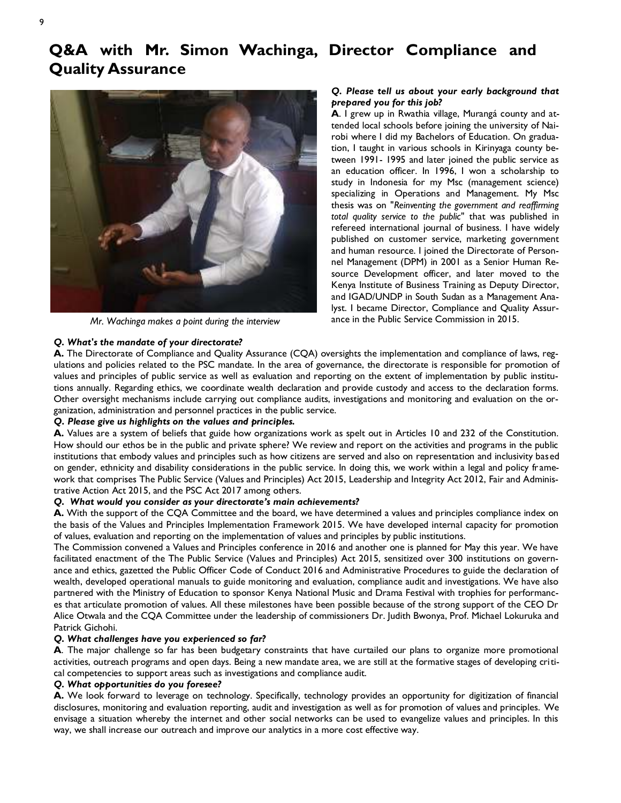## **Q&A with Mr. Simon Wachinga, Director Compliance and Quality Assurance**



*Mr. Wachinga makes a point during the interview* 

#### *Q. Please tell us about your early background that prepared you for this job?*

**A**. I grew up in Rwathia village, Murangá county and attended local schools before joining the university of Nairobi where I did my Bachelors of Education. On graduation, I taught in various schools in Kirinyaga county between 1991- 1995 and later joined the public service as an education officer. In 1996, I won a scholarship to study in Indonesia for my Msc (management science) specializing in Operations and Management. My Msc thesis was on "*Reinventing the government and reaffirming total quality service to the public"* that was published in refereed international journal of business*.* I have widely published on customer service, marketing government and human resource. I joined the Directorate of Personnel Management (DPM) in 2001 as a Senior Human Resource Development officer, and later moved to the Kenya Institute of Business Training as Deputy Director, and IGAD/UNDP in South Sudan as a Management Analyst. I became Director, Compliance and Quality Assurance in the Public Service Commission in 2015.

#### *Q. What's the mandate of your directorate?*

**A.** The Directorate of Compliance and Quality Assurance (CQA) oversights the implementation and compliance of laws, regulations and policies related to the PSC mandate. In the area of governance, the directorate is responsible for promotion of values and principles of public service as well as evaluation and reporting on the extent of implementation by public institutions annually. Regarding ethics, we coordinate wealth declaration and provide custody and access to the declaration forms. Other oversight mechanisms include carrying out compliance audits, investigations and monitoring and evaluation on the organization, administration and personnel practices in the public service.

#### *Q. Please give us highlights on the values and principles.*

**A.** Values are a system of beliefs that guide how organizations work as spelt out in Articles 10 and 232 of the Constitution. How should our ethos be in the public and private sphere? We review and report on the activities and programs in the public institutions that embody values and principles such as how citizens are served and also on representation and inclusivity based on gender, ethnicity and disability considerations in the public service. In doing this, we work within a legal and policy framework that comprises The Public Service (Values and Principles) Act 2015, Leadership and Integrity Act 2012, Fair and Administrative Action Act 2015, and the PSC Act 2017 among others.

#### *Q. What would you consider as your directorate's main achievements?*

**A.** With the support of the CQA Committee and the board, we have determined a values and principles compliance index on the basis of the Values and Principles Implementation Framework 2015. We have developed internal capacity for promotion of values, evaluation and reporting on the implementation of values and principles by public institutions.

The Commission convened a Values and Principles conference in 2016 and another one is planned for May this year. We have facilitated enactment of the The Public Service (Values and Principles) Act 2015, sensitized over 300 institutions on governance and ethics, gazetted the Public Officer Code of Conduct 2016 and Administrative Procedures to guide the declaration of wealth, developed operational manuals to guide monitoring and evaluation, compliance audit and investigations. We have also partnered with the Ministry of Education to sponsor Kenya National Music and Drama Festival with trophies for performances that articulate promotion of values. All these milestones have been possible because of the strong support of the CEO Dr Alice Otwala and the CQA Committee under the leadership of commissioners Dr. Judith Bwonya, Prof. Michael Lokuruka and Patrick Gichohi.

#### *Q. What challenges have you experienced so far?*

**A**. The major challenge so far has been budgetary constraints that have curtailed our plans to organize more promotional activities, outreach programs and open days. Being a new mandate area, we are still at the formative stages of developing critical competencies to support areas such as investigations and compliance audit.

#### *Q. What opportunities do you foresee?*

**A.** We look forward to leverage on technology. Specifically, technology provides an opportunity for digitization of financial disclosures, monitoring and evaluation reporting, audit and investigation as well as for promotion of values and principles. We envisage a situation whereby the internet and other social networks can be used to evangelize values and principles. In this way, we shall increase our outreach and improve our analytics in a more cost effective way.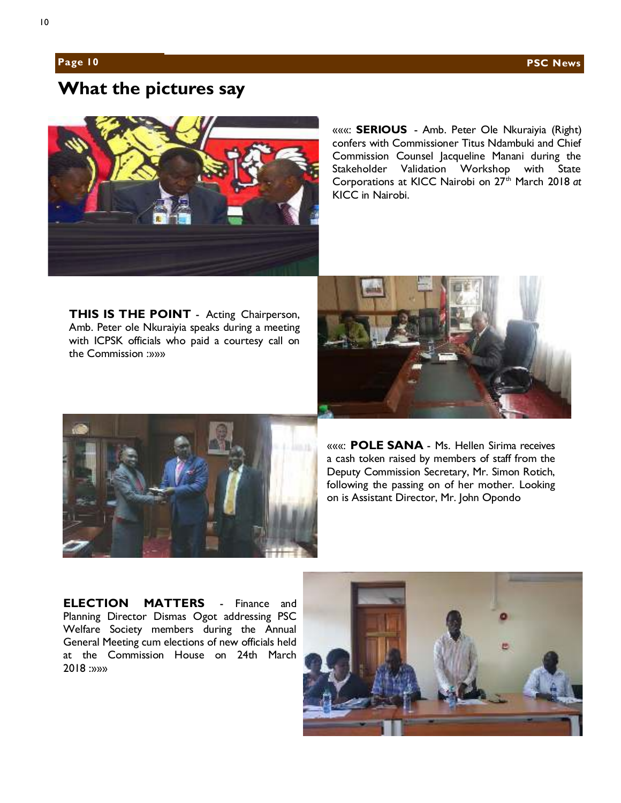## **What the pictures say**



«««: **SERIOUS** - Amb. Peter Ole Nkuraiyia (Right) confers with Commissioner Titus Ndambuki and Chief Commission Counsel Jacqueline Manani during the Stakeholder Validation Workshop with State Corporations at KICC Nairobi on 27<sup>th</sup> March 2018 at KICC in Nairobi.

**THIS IS THE POINT** - Acting Chairperson, Amb. Peter ole Nkuraiyia speaks during a meeting with ICPSK officials who paid a courtesy call on the Commission :»»»





«««: **POLE SANA** - Ms. Hellen Sirima receives a cash token raised by members of staff from the Deputy Commission Secretary, Mr. Simon Rotich, following the passing on of her mother. Looking on is Assistant Director, Mr. John Opondo

**ELECTION MATTERS** - Finance and Planning Director Dismas Ogot addressing PSC Welfare Society members during the Annual General Meeting cum elections of new officials held at the Commission House on 24th March 2018 :»»»

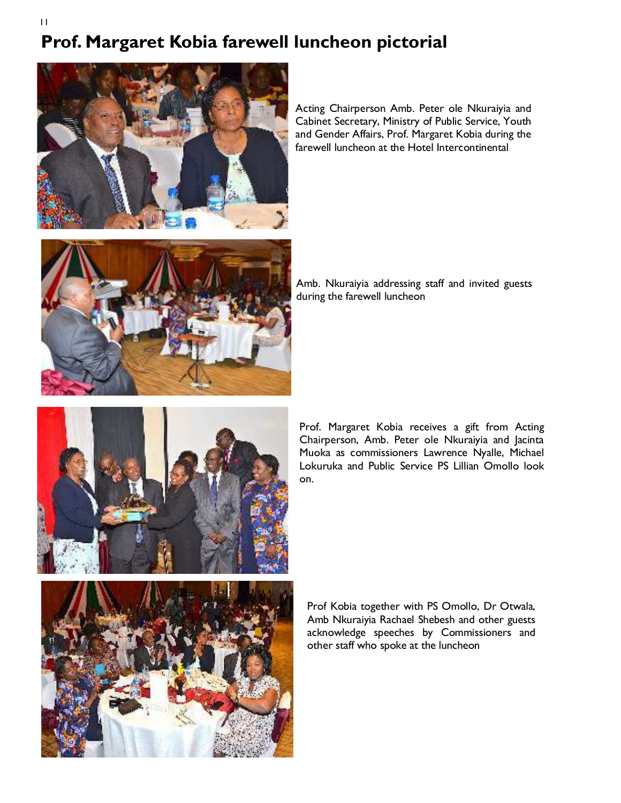## **Prof. Margaret Kobia farewell luncheon pictorial**



Acting Chairperson Amb. Peter ole Nkuraiyia and Cabinet Secretary, Ministry of Public Service, Youth and Gender Affairs, Prof. Margaret Kobia during the farewell luncheon at the Hotel Intercontinental



Amb. Nkuraiyia addressing staff and invited guests during the farewell luncheon



Prof. Margaret Kobia receives a gift from Acting Chairperson, Amb. Peter ole Nkuraiyia and Jacinta Muoka as commissioners Lawrence Nyalle, Michael Lokuruka and Public Service PS Lillian Omollo look on.



Prof Kobia together with PS Omollo, Dr Otwala, Amb Nkuraiyia Rachael Shebesh and other guests acknowledge speeches by Commissioners and other staff who spoke at the luncheon